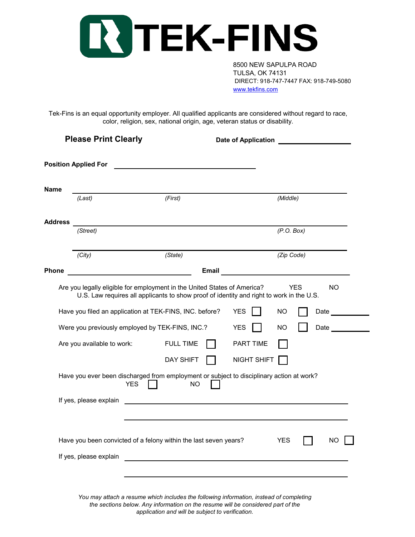

8500 NEW SAPULPA ROAD TULSA, OK 74131 DIRECT: 918-747-7447 FAX: 918-749-5080 [www.tekfins.com](http://www.tekfins.com/)

Tek-Fins is an equal opportunity employer. All qualified applicants are considered without regard to race, color, religion, sex, national origin, age, veteran status or disability.

| <b>Please Print Clearly</b> |                                                                               | Date of Application <b>Date of Application</b>                                                                      |                                                      |                  |                              |
|-----------------------------|-------------------------------------------------------------------------------|---------------------------------------------------------------------------------------------------------------------|------------------------------------------------------|------------------|------------------------------|
|                             | <b>Position Applied For</b>                                                   |                                                                                                                     |                                                      |                  |                              |
| Name                        |                                                                               |                                                                                                                     |                                                      |                  |                              |
|                             | (Last)                                                                        | (First)                                                                                                             |                                                      | (Middle)         |                              |
| Address                     |                                                                               |                                                                                                                     |                                                      |                  |                              |
|                             | (Street)                                                                      |                                                                                                                     |                                                      | (P.O. Box)       |                              |
|                             | (City)                                                                        | (State)                                                                                                             |                                                      | (Zip Code)       |                              |
| Phone                       |                                                                               | <b>Email</b>                                                                                                        |                                                      |                  |                              |
|                             | Were you previously employed by TEK-FINS, INC.?<br>Are you available to work: | Have you filed an application at TEK-FINS, INC. before?<br><b>FULL TIME</b><br><b>DAY SHIFT</b>                     | <b>YES</b><br><b>YES</b><br>PART TIME<br>NIGHT SHIFT | NO.<br><b>NO</b> | Date $\qquad \qquad$<br>Date |
|                             | <b>YES</b>                                                                    | Have you ever been discharged from employment or subject to disciplinary action at work?<br>NO.                     |                                                      |                  |                              |
|                             | If yes, please explain                                                        | <u> 1989 - Johann Barbara, martin amerikan basar dan basa dan basa dan basa dan basa dan basa dan basa dan basa</u> |                                                      |                  |                              |
|                             |                                                                               | Have you been convicted of a felony within the last seven years?                                                    |                                                      | <b>YES</b>       | NO                           |
|                             | If yes, please explain                                                        |                                                                                                                     |                                                      |                  |                              |
|                             |                                                                               |                                                                                                                     |                                                      |                  |                              |

*You may attach a resume which includes the following information, instead of completing the sections below. Any information on the resume will be considered part of the application and will be subject to verification.*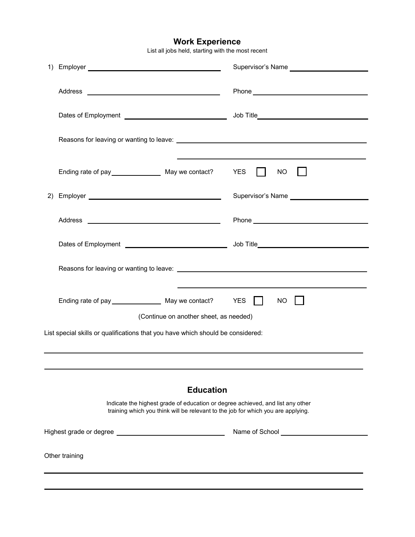## **Work Experience**

List all jobs held, starting with the most recent

|                                                                                                                                                                    |                                        | Supervisor's Name __________________________ |  |  |  |  |
|--------------------------------------------------------------------------------------------------------------------------------------------------------------------|----------------------------------------|----------------------------------------------|--|--|--|--|
|                                                                                                                                                                    |                                        |                                              |  |  |  |  |
|                                                                                                                                                                    |                                        |                                              |  |  |  |  |
|                                                                                                                                                                    |                                        |                                              |  |  |  |  |
|                                                                                                                                                                    |                                        | <b>NO</b><br>$\mathbf{I}$                    |  |  |  |  |
|                                                                                                                                                                    |                                        |                                              |  |  |  |  |
|                                                                                                                                                                    |                                        |                                              |  |  |  |  |
|                                                                                                                                                                    |                                        |                                              |  |  |  |  |
|                                                                                                                                                                    |                                        |                                              |  |  |  |  |
|                                                                                                                                                                    |                                        | NO                                           |  |  |  |  |
|                                                                                                                                                                    | (Continue on another sheet, as needed) |                                              |  |  |  |  |
| List special skills or qualifications that you have which should be considered:                                                                                    |                                        |                                              |  |  |  |  |
|                                                                                                                                                                    |                                        |                                              |  |  |  |  |
| <b>Education</b>                                                                                                                                                   |                                        |                                              |  |  |  |  |
| Indicate the highest grade of education or degree achieved, and list any other<br>training which you think will be relevant to the job for which you are applying. |                                        |                                              |  |  |  |  |
|                                                                                                                                                                    |                                        | Name of School <u>Name of</u> School         |  |  |  |  |
| Other training                                                                                                                                                     |                                        |                                              |  |  |  |  |
|                                                                                                                                                                    |                                        |                                              |  |  |  |  |